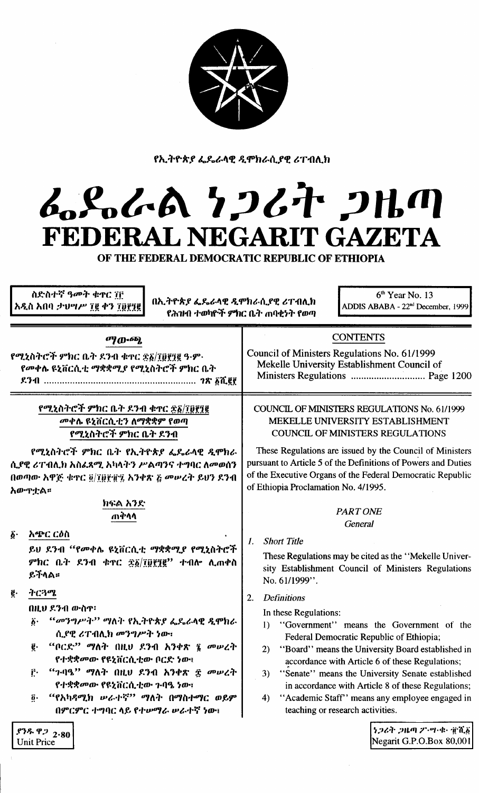

የኢትዮጵያ ፌዴራላዊ ዲሞክራሲያዊ ሪፐብሊክ

# L.S.L.A 7267 2Hm FEDERAL NEGARIT GAZETA

OF THE FEDERAL DEMOCRATIC REPUBLIC OF ETHIOPIA

| ስድስተኛ ዓመት ቁዋር ፐቮ<br>$6th$ Year No. 13<br>በኢትዮጵያ ፌዴራላዊ ዲሞክራሲያዊ ሪፐብሊክ<br>አዲስ አበባ ታህሣሥ ፲፪ ቀን ፲፱፻፺፪<br>ADDIS ABABA - 22 <sup>nd</sup> December, 1999<br>የሕዝብ ተወካዮች ምክር ቤት ጠባቂነት የወጣ                                                                                                                    |                                                                                                                                                                                                                                                                                                                                                                                                                                                                        |  |  |  |
|----------------------------------------------------------------------------------------------------------------------------------------------------------------------------------------------------------------------------------------------------------------------------------------------------|------------------------------------------------------------------------------------------------------------------------------------------------------------------------------------------------------------------------------------------------------------------------------------------------------------------------------------------------------------------------------------------------------------------------------------------------------------------------|--|--|--|
| $\sigma$ <i>y</i> $\sigma$ - $\sigma$ <i>p</i> .                                                                                                                                                                                                                                                   | <b>CONTENTS</b>                                                                                                                                                                                                                                                                                                                                                                                                                                                        |  |  |  |
| የሚኒስትሮች ምክር ቤት ደንብ ቁተር ፳፩/፲፬፻፺፪ ዓ·ም·                                                                                                                                                                                                                                                               | Council of Ministers Regulations No. 61/1999                                                                                                                                                                                                                                                                                                                                                                                                                           |  |  |  |
| የመቀሴ ዩኒቨርሲቲ ማቋቋሚያ የሚኒስትሮች ምክር ቤት                                                                                                                                                                                                                                                                   | Mekelle University Establishment Council of                                                                                                                                                                                                                                                                                                                                                                                                                            |  |  |  |
|                                                                                                                                                                                                                                                                                                    |                                                                                                                                                                                                                                                                                                                                                                                                                                                                        |  |  |  |
| የሚኒስትሮች ምክር ቤት ደንብ ቁዋር ፳፩/፲፱፻፺፪                                                                                                                                                                                                                                                                    | <b>COUNCIL OF MINISTERS REGULATIONS No. 61/1999</b>                                                                                                                                                                                                                                                                                                                                                                                                                    |  |  |  |
| መቀሌ ዩኒቨርሲቲን ለማቋቋም የወጣ                                                                                                                                                                                                                                                                              | MEKELLE UNIVERSITY ESTABLISHMENT                                                                                                                                                                                                                                                                                                                                                                                                                                       |  |  |  |
| የሚኒስትሮች ምክር ቤት ደንብ                                                                                                                                                                                                                                                                                 | <b>COUNCIL OF MINISTERS REGULATIONS</b>                                                                                                                                                                                                                                                                                                                                                                                                                                |  |  |  |
| የሚኒስትሮች ምክር ቤት የኢትዮጵያ ፌዴራላዊ ዲሞክራ                                                                                                                                                                                                                                                                   | These Regulations are issued by the Council of Ministers                                                                                                                                                                                                                                                                                                                                                                                                               |  |  |  |
| ሲያዊ ሪፐብሊክ አስፌጻሚ አካላትን ሥልጣንና ተግባር ለመወሰን                                                                                                                                                                                                                                                             | pursuant to Article 5 of the Definitions of Powers and Duties                                                                                                                                                                                                                                                                                                                                                                                                          |  |  |  |
| በወጣው አዋጅ ቁጥር ፬/፲፱፻፹፯ አንቀጽ ፭ መሠረት ይህን ደንብ                                                                                                                                                                                                                                                           | of the Executive Organs of the Federal Democratic Republic                                                                                                                                                                                                                                                                                                                                                                                                             |  |  |  |
| አውጥቷል።                                                                                                                                                                                                                                                                                             | of Ethiopia Proclamation No. 4/1995.                                                                                                                                                                                                                                                                                                                                                                                                                                   |  |  |  |
| ክፍል አንድ                                                                                                                                                                                                                                                                                            | <b>PART ONE</b>                                                                                                                                                                                                                                                                                                                                                                                                                                                        |  |  |  |
| ጠቅላላ                                                                                                                                                                                                                                                                                               | <b>General</b>                                                                                                                                                                                                                                                                                                                                                                                                                                                         |  |  |  |
| <i>አጭር ርዕ</i> ስ                                                                                                                                                                                                                                                                                    | <b>Short Title</b>                                                                                                                                                                                                                                                                                                                                                                                                                                                     |  |  |  |
| $\tilde{\mathbf{Q}}$ .                                                                                                                                                                                                                                                                             | 1.                                                                                                                                                                                                                                                                                                                                                                                                                                                                     |  |  |  |
| ይህ ደንብ "የመቀሌ ዩኒቨርሲቲ ማቋቋሚያ የሚኒስትሮች                                                                                                                                                                                                                                                                  | These Regulations may be cited as the "Mekelle Univer-                                                                                                                                                                                                                                                                                                                                                                                                                 |  |  |  |
| ምክር ቤት ደንብ ቁተር ፳፩/፲፱፻፺፪'' ተብሎ ሊጠቀስ                                                                                                                                                                                                                                                                 | sity Establishment Council of Ministers Regulations                                                                                                                                                                                                                                                                                                                                                                                                                    |  |  |  |
| ይችላል።                                                                                                                                                                                                                                                                                              | No. 61/1999".                                                                                                                                                                                                                                                                                                                                                                                                                                                          |  |  |  |
| ትርጓሜ<br>ĝ.<br>በዚህ ደንብ ውስጥ<br>"መንግሥት" ማለት የኢትዮጵያ ፌዴራላዊ ዲሞክራ<br>$\ddot{\mathbf{b}}$ .<br>ሲያዊ ሪፐብሊክ መንግሥት ነው።<br>"ቦርድ'' ማለት በዚህ ደንብ አንቀጽ ፯ መሠረት<br>ĝ.<br>የተቋቋመው የዩኒቨርሲቲው ቦርድ ነው፤<br>$``$ ንብዔ" ማለት በዚህ ደንብ አንቀጽ ፰ መሠረት<br>ŗ.<br>የተቋቋመው የዩኒቨርሲቲው ጉባዔ ነው፤<br>$\vec{0}$ .<br>በምርምር ተግባር ላይ የተሥማራ ሥራተኛ ነው፤ | <b>Definitions</b><br>2.<br>In these Regulations:<br>1) "Government" means the Government of the<br>Federal Democratic Republic of Ethiopia;<br>"Board" means the University Board established in<br>2)<br>accordance with Article 6 of these Regulations;<br>"Senate" means the University Senate established<br>3)<br>in accordance with Article 8 of these Regulations;<br>"Academic Staff" means any employee engaged in<br>4)<br>teaching or research activities. |  |  |  |
| 69992280                                                                                                                                                                                                                                                                                           | うつるか つルの ク・ツ・ター 連着る                                                                                                                                                                                                                                                                                                                                                                                                                                                    |  |  |  |
| <b>Unit Price</b>                                                                                                                                                                                                                                                                                  | Negarit G.P.O.Box 80,001                                                                                                                                                                                                                                                                                                                                                                                                                                               |  |  |  |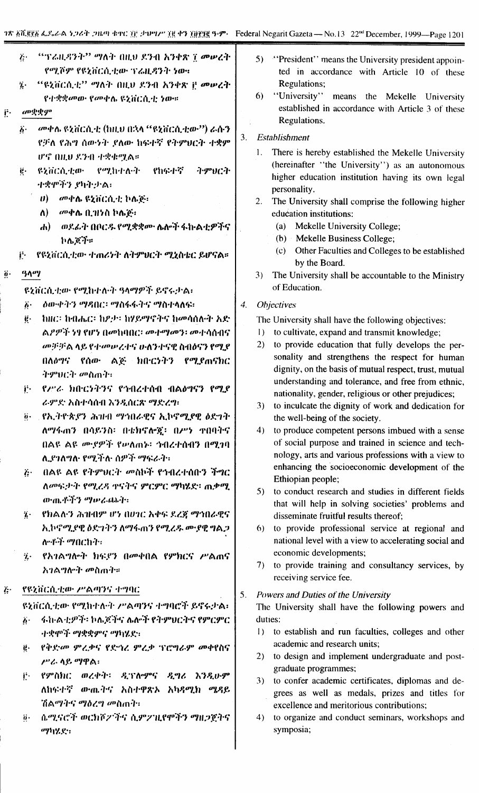| ij. | - ''ፕሬዚዳንት'' ማለት በዚህ ደንብ አንቀጽ ፲ መሠረት |
|-----|--------------------------------------|
|     | የሚሾም የዩኒቨርሲቲው ፕሬዚዳንት ነው።             |

- "ዩኒቨርሲቲ" ማለት በዚህ ደንብ አንቀጽ ቮ መሠረት  $\ddot{\mathbf{z}}$ .
- የተቋቋመው የመቀሴ ዩኒቨርሲቲ ነው።
- 
- 
- 
- 
- 
- 
- 
- 
- መቋቋም
- 
- $\ddot{b}$ .
- Ë.
	- መቀሉ ዩኒቨርሲቲ (ከዚህ በኋላ "ዩኒቨርሲቲው") ራሱን
	- የቻለ የሕግ ሰውነት ያለው ከፍተኛ የትምህርት ተቋም ሆኖ በዚህ ደንብ ተቋቁሚል።
	- የሚከተሉት やねなすぞ ትምህርት **&ziiCA.4:0.**  $\ddot{\mathbf{g}}$  . ተቋሞችን ያካትታል፡
		- $\boldsymbol{\theta}$ ) =  $a$ <sup>0</sup> $\boldsymbol{\phi}$ ሌ ዩኒቨርሲቲ ኮሌጅ፡
			- ለ)  $\omega$ ቀሉ ቢዝንስ ኮሌጅ።
			- ሐ) ወደፊት በቦርዱ የሚቋቋሙ ሌሎች ፋኩልቲዎችና ኮሌጆች።
		- የዩኒቨርሲቲው ተጠሪነት ለትምሀርት ሚኒስቴር ይሆናል።
- $90<sup>0</sup>$  $\dddot{\theta}$  .

Ë.

ዩኒቨርሲቲው የሚከተሉት ዓላማዎች ይኖሩታል፡

- *ዕውቀትን ማዳ*በር፡ ማስፋፋትና ማስተላለፍ፡  $\ddot{b}$ .
- ከዘር፡ ከብሔር፡ ከዖታ፡ ከሃይማኖትና ከመሳሰሉት አድ  $\ddot{e}$  . ል*ዖዎች ነፃ የ*ሆነ በመከባበር፡ መተማመን፡ መተሳሰብና መቻቻል ላይ የተመሠረተና ሁለንተናዊ ስብዕናን የሚደ በለዕግና የሰው ልጅ ክበ፡ርንትን የሚያጠናክር ትምህርት መስጠት፡
- የሥራ ክበርንትንና የኅብረተሰብ ብልዕግናን የሚያ j. ራምድ አስተሳሰብ እንዲሰርጽ ማድረግ፡
- @ የኢትዮጵያን ሕዝብ ማኅበራዊና ኢኮኖሚያዊ ዕድገት ለማፋጠን በሳይንስ፡ በቴክኖሎጀ፡ በሥነ ተበባትኖ በልዩ ልዩ ሙያዎች የሥለጠኑ፡ ኅብረተሰብን በሚገባ ሊደገለግሉ የሚችሉ ስዎች ማፍራት።
- በልዩ ልዩ የትምህርት መስኮች የኅብረተሰቡን ችግር  $\ddot{G}$ ለመፍታት የሚረዳ ቀናትና ምርምር ማካሄድ፡ ጨቃሚ のつまギラ ツゅんのみ
- የክልሉን ሕዝብም ሆነ በሀገር እቀፍ ደረጃ ማኅበራዊና  $\mathbf{z}$ አ.ኮኖሚያዊ ዕድገትን ለማፋጠን የሚረዱ ሙያዊ ግልጋ ለማች **ማ**በርኩት፡
- የአገልግሎት ክፍያን በመቀበል የምክርና ሥልሐና  $\mathbf{v}$ አንልግሎት መስጠት።
- የዩኒቨርሲቲው ሥልጣንና ተግባር Ŀ.

ዩኒቨርሲቲው የሚከተሉት ሥልጣንና ተግባሮች ይኖሩታል፡

- ፋኩልቲዎች፡ ኮሌጆችና ሌሎች የትምሀርትና የምርምር  $\vec{b}$ . ·ተቋሞች ማቋቋምና ማካሄደ፡፡
- ë. የቅድመ ምሬቃና የድኀሪ ምሬቃ ፕሮግራም መቀየስና ሥራ ላይ ማዋል፡
- የምስክር ወረቀት፡ ዲፕሎምና ዲግሪ እንዲሁም i. ለከፍተኛ ውጤትና አስተዋጽኦ አካዳሚክ ሜዳይ ሽልማትና ማዕረግ መስጠት፡
- ሴሚናሮች ወርክሾፖችና ሲምፖዚየሞችን ማዘጋጀትና  $\ddot{\mathbf{0}}$ . ማካሄድ፡
- $5)$ "'President'' means the University president appointed in accordance with Article 10 of these **Regulations:**
- $6)$ "University" means the Mekelle University established in accordance with Article 3 of these Regulations.

#### $3.$ Establishment

- There is hereby established the Mekelle University  $1.$ (hereinafter "the University") as an autonomous higher education institution having its own legal personality.
- The University shall comprise the following higher  $2.$ education institutions:
	- (a) Mekelle University College;
	- (b) Mekelle Business College;
	- (c) Other Faculties and Colleges to be established by the Board.
- $3)$ The University shall be accountable to the Ministry of Education.

#### $\overline{4}$ . **Objectives**

The University shall have the following objectives:

- 1) to cultivate, expand and transmit knowledge;
- 2) to provide education that fully develops the personality and strengthens the respect for human dignity, on the basis of mutual respect, trust, mutual understanding and tolerance, and free from ethnic. nationality, gender, religious or other prejudices;
- $3)$ to inculcate the dignity of work and dedication for the well-being of the society.
- 4) to produce competent persons imbued with a sense of social purpose and trained in science and technology, arts and various professions with a view to enhancing the socioeconomic development of the Ethiopian people;
- 5) to conduct research and studies in different fields that will help in solving societies' problems and disseminate fruitful results thereof;
- 6) to provide professional service at regional and national level with a view to accelerating social and economic developments;
- 7) to provide training and consultancy services, by receiving service fee.

5. Powers and Duties of the University

The University shall have the following powers and duties:

- to establish and run faculties, colleges and other  $1)$ academic and research units;
- 2) to design and implement undergraduate and postgraduate programmes;
- 3) to confer academic certificates, diplomas and degrees as well as medals, prizes and titles for excellence and meritorious contributions;
- $4)$ to organize and conduct seminars, workshops and symposia;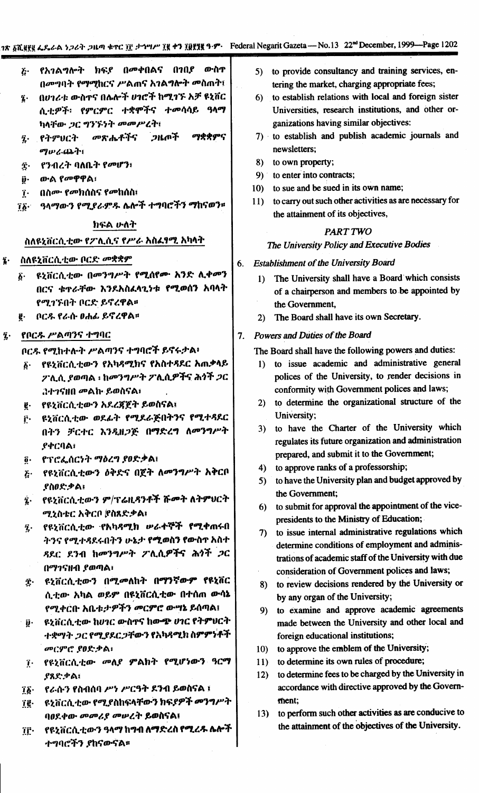6.

- የአገልግሎት ክፍያ በመቀበልና በገበያ ውስጥ  $\ddot{c}$ በመግባት የማሚከርና ሥልጠና አገልግሎት መስጠት፤
- በሀገሪቱ ውስዋና በሌሎች ሀገሮች ከሚገኙ እቻ ዩኒቨር z. ሲቲዎች፡ የምርምር ተቋሞችና ተመሳሳይ ዓላማ ካላቸው ጋር ግንኙነት መመሥረት፤
- መጽሔቶችና ጋዜጦች ማቋቋምና የትምህርት  $\ddot{\mathbf{z}}$ . のいん(はか)
- የንብረት ባለቤት የመሆን፣ Î٠
- ውል የመዋዋል፡ ij.
- በስሙ የመክሰስና የመከሰስ፤  $\mathbf{r}$ .
- ዓላማውን የሚደራምዱ ሴሎች ተግባሮችን ማከናወን።  $75 -$

## ክፍል ሁለት

#### ስለዩኒቨርሲቲው የፖሊሲና የሥራ አስፈፃሚ አካላት

- ስለዩኒቨርሲቲው ቦርድ መቋቋም  $\ddot{\mathbf{a}}$ .
	- ዩኒቨርሲቲው በመንግሥት የሚሰየሙ አንድ ሊቀመን  $\boldsymbol{\delta}$  . በርና ቁተራቸው እንደአስፈላጊነቱ የሚወሰን አባላት የሚገኙበት ቦርድ ይኖረዋል።
	- **፪· ቦርዱ የራሱ ፀሐፊ ይኖረዋል።**
- የቦርዱ ሥልጣንና ተግባር  $\mathbf{\hat{z}}$  .

ቦርዱ የሚከተሉት ሥልጣንና ተግባሮች ይኖሩታል፡

- ፩· የዩኒቨርሲቲውን የአካዳሚክና የአስተዳደር አጠቃላይ ፖሊሲ ያወጣል ፡ ከ*መንግሥት ፖ*ሊሲዎችና ሕ*ጎች ጋ*ር 342580 መልኩ ይወስናል፣
- የዩኒቨርሲቲውን አደረጃጀት ይወስናል፤  $\mathbf{g}$ .
- ዩኒቨርሲቲው ወደፊት የሚደራጅበትንና የሚተጻደር f٠. በትን ቻርተር እንዲዘጋጅ በማድረግ ለመንግሥት **ያቀርባል**፣
- የፕሮፌሰርነት ማዕረግ ያፀድቃል፤  $\ddot{\bm{\theta}}$  .
- ጅ· የዩኒቨርሲቲውን ዕቅድና በጀት ለመንግሥት አቅርቦ ያስዐድቃል:
- የዩኒቨርሲቲውን ም/ፕሬዚዳንቶች ሹመት ለትምህርት  $\ddot{\mathbf{z}}$  . ሚኒስቴር አቅርቦ (የስጸድቃል፣
- የዩንቨርሲቲው የእካዳሚክ ሥራ**ተ**ኞች **የሚ**ቀጠሩበ  $\ddot{\imath}$ . ትንና የሚተዳደሩበትን ሁኔታ የሚወስን የውስጥ አስተ ዳደር ደንብ ከመንግሥት ፖሊሲዎችና ሕ*ጎች ጋ*ር በማገናዘብ ያወጣል፣
- ዩኒቨርሲቲውን በሚመለከት በ<mark>ማንኛውም የ</mark>ዩኒቨር **穴・** ሲቲው አካል ወይም በዩኒቨርሲቲው በተሰጠ ውሳኔ የሚቀርቡ አቤቱ:ታዎችን መርምሮ ውሣኔ ይሰጣል፤
- ዩኒቨርሲቲው ከሀገር ውስኖና ከውጭ ሀገር የትምህርት  $\ddot{\bm{\theta}}$  . ተቋማት ጋር የሚያደርጋቸውን የአካዳሚክ ስምምነቶች መርምሮ ያዐድቃል፡
- ፲ የዩኒቨርሲቲው መለያ ምልክት የሚሆነውን ዓርማ ያጸድቃል፤
- የራሱን የስብሰባ ሥነ ሥርዓት ደንብ ይወስናል ፤  $\mathbf{16}$
- ዩኒቨርሲቲው የሚያስከፍላቸውን ክፍያዎች *መንግሥት* ïg∙ ባዐደቀው መመሪያ መሠረት ይወስናል፤
- የዩኒቨርሲቲውን ዓላማ ከግብ ለማድረስ የሚረዱ ሌሎች TF. ተግባሮችን ያከናውናል።
- 5) to provide consultancy and training services, entering the market, charging appropriate fees;
- 6) to establish relations with local and foreign sister Universities, research institutions, and other organizations having similar objectives:
- 7) to establish and publish academic journals and newsletters:
- 8) to own property;
- 9) to enter into contracts;
- 10) to sue and be sued in its own name;
- to carry out such other activities as are necessary for  $11$ the attainment of its objectives,

# **PART TWO**

The University Policy and Executive Bodies

## **Establishment of the University Board**

- 1) The University shall have a Board which consists of a chairperson and members to be appointed by the Government,
- 2) The Board shall have its own Secretary.

## 7. Powers and Duties of the Board

The Board shall have the following powers and duties:

- 1) to issue academic and administrative general polices of the University, to render decisions in conformity with Government polices and laws;
- 2) to determine the organizational structure of the University;
- 3) to have the Charter of the University which regulates its future organization and administration prepared, and submit it to the Government;
- 4) to approve ranks of a professorship;
- 5) to have the University plan and budget approved by the Government:
- 6) to submit for approval the appointment of the vicepresidents to the Ministry of Education;
- 7) to issue internal administrative regulations which determine conditions of employment and administrations of academic staff of the University with due consideration of Government polices and laws;
- 8) to review decisions rendered by the University or by any organ of the University;
- 9) to examine and approve academic agreements made between the University and other local and foreign educational institutions;
- to approve the emblem of the University;  $10<sub>1</sub>$
- to determine its own rules of procedure;  $11)$
- to determine fees to be charged by the University in  $12)$ accordance with directive approved by the Government;
- to perform such other activities as are conducive to  $13)$ the attainment of the objectives of the University.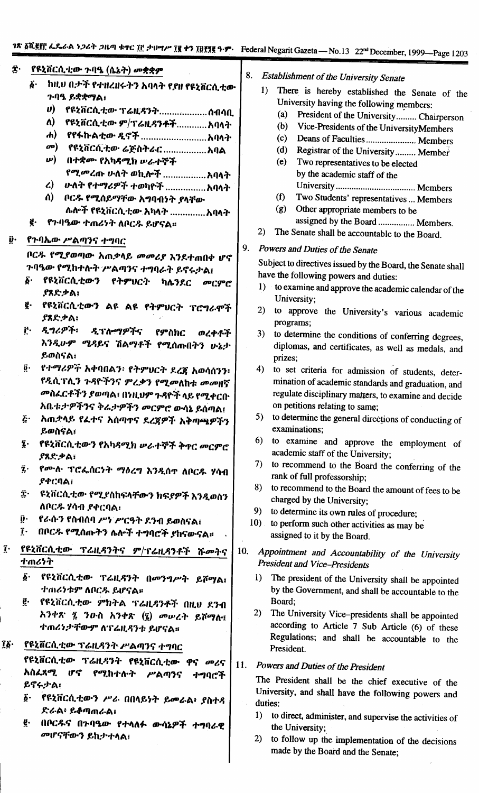| ĝ.<br>Û٠     | የዩኒቨርሲቲው ጉባዔ (ሴኔት) መቋቋም<br>$\vec{\delta}$<br>ከዚህ በታች የተዘረዘሩትን አባላት የያዘ የዩኒቨርሲቲው<br>ንባዔ ይቋቋማል <b>:</b><br>$\boldsymbol{\theta}$<br>የዩኒቨርሲቲው ፕሬዚዳንትስብሳቢ<br>Λ)<br>የዩኒቨርሲቲው ም/ፕሬዚዳንቶችአባላት<br>$\boldsymbol{d}$<br>$\boldsymbol{\sigma}$<br>በተቋሙ የአካዳሚክ ሥራተኞች<br>$\boldsymbol{\omega}$<br>$\mathcal{L}$<br>ለ)<br>ቦርዱ የሚሰይማቸው አግባብነት ያላቸው<br>ሌሎች የዩኒቨርሲቲው አካላት አባላት<br>ē.<br>የንባዔው ተጠሪነት ለቦርዱ ይሆናል።<br>የጉባኤው ሥልጣንና ተግባር<br>ቦርዱ የሚያወጣው አጠቃላይ መመሪያ እንደተጠበቀ ሆኖ<br>ጉባዔው የሚከተሉት ሥልጣንና ተግባራት ይኖሩታል፤ | $22$ December, 1999—Page 1203<br>8.<br><b>Establishment of the University Senate</b><br>1)<br>There is hereby established the Senate of the<br>University having the following members:<br>(a)<br>President of the University Chairperson<br>(b)<br>Vice-Presidents of the UniversityMembers<br>(c)<br>Deans of Faculties  Members<br>(d)<br>Registrar of the University  Member<br>(e)<br>Two representatives to be elected<br>by the academic staff of the<br>(f)<br>Two Students' representatives  Members<br>(g)<br>Other appropriate members to be<br>assigned by the Board  Members.<br>2)<br>The Senate shall be accountable to the Board.<br>9.<br>Powers and Duties of the Senate<br>Subject to directives issued by the Board, the Senate shall |
|--------------|----------------------------------------------------------------------------------------------------------------------------------------------------------------------------------------------------------------------------------------------------------------------------------------------------------------------------------------------------------------------------------------------------------------------------------------------------------------------------------------|-----------------------------------------------------------------------------------------------------------------------------------------------------------------------------------------------------------------------------------------------------------------------------------------------------------------------------------------------------------------------------------------------------------------------------------------------------------------------------------------------------------------------------------------------------------------------------------------------------------------------------------------------------------------------------------------------------------------------------------------------------------|
|              | δ.<br>የዩኒቨርሲቲውን የትምህርት<br>ካሌንደር<br>መርምሮ<br><b>የጸድቃል</b> ፤<br>ę.<br>የዩኒቨርሲቲውን ልዩ ልዩ የትምህርት ፕሮግራሞች<br><i>ያ</i> ጸድቃል፣<br>$\mathbf{r}$<br>ዲግሪዎች፡<br>ዲፕሎማዎችና<br>የምስክር<br>ወረቀቶች                                                                                                                                                                                                                                                                                                              | have the following powers and duties:<br>1)<br>to examine and approve the academic calendar of the<br>University;<br>2)<br>to approve the University's various academic<br>programs;<br>3)                                                                                                                                                                                                                                                                                                                                                                                                                                                                                                                                                                |
|              | እንዲሁም ሜዳይና ሽልማቶች የሚሰጡበትን ሁኔታ<br>ይወስናል፣<br>$\ddot{\mathbf{0}}$ .<br>የተማሪዎች አቀባበልን፡ የትምህርት ደረጃ አወሳሰንን፡<br>የዲሲፐሊን ጉዳዮችንና ምረቃን የሚመለከቱ መመዘኛ<br><i>መ</i> ስፈርቶችን ያወጣል፣ በነዚህም ጉዳዮች ላይ የሚቀርቡ<br>አቤቱ:ታዎችንና ቅሬታዎችን መርምሮ ውሳኔ ይሰጣል፤                                                                                                                                                                                                                                                                 | to determine the conditions of conferring degrees,<br>diplomas, and certificates, as well as medals, and<br>prizes;<br>4)<br>to set criteria for admission of students, deter-<br>mination of academic standards and graduation, and<br>regulate disciplinary matters, to examine and decide<br>on petitions relating to same;                                                                                                                                                                                                                                                                                                                                                                                                                            |
|              | $\boldsymbol{\tilde{G}}$ .<br>አጠቋላይ የፈተና አሰጣተና ደረጀዎች አቅጣጫዎችን<br>ይወስናል፣                                                                                                                                                                                                                                                                                                                                                                                                                 | 5) to determine the general directions of conducting of<br>examinations:                                                                                                                                                                                                                                                                                                                                                                                                                                                                                                                                                                                                                                                                                  |
|              | የዩኒቨርሲቲውን የአካዳሚክ ሥራተኞች ቅዋር መርምሮ<br>ī.<br>.የጸድ.ቃል፣<br>$\vec{\imath}$ .<br>የሙሉ ፕሮፌሰርንት ማዕረግ እንዲሰዋ ለቦርዱ ሃሳብ<br>.የቀርባል፣<br>£٠<br>ዩኒቨርሲቲው የሚያስከፍላቸውን ክፍያዎች እንዲወስን<br>ለቦርዱ ሃሳብ ያቀርባል፡                                                                                                                                                                                                                                                                                                        | 6)<br>to examine and approve the employment of<br>academic staff of the University;<br>7)<br>to recommend to the Board the conferring of the<br>rank of full professorship;<br>8)<br>to recommend to the Board the amount of fees to be<br>charged by the University;                                                                                                                                                                                                                                                                                                                                                                                                                                                                                     |
|              | į٠<br>የራሱን የስብሰባ ሥነ ሥርዓት ደንብ ይወስናል፤<br>$\mathbf{r}$<br>በቦርዱ የሚሰጡትን ሌሎች ተግባሮች ያከናውናል።                                                                                                                                                                                                                                                                                                                                                                                                   | 9)<br>to determine its own rules of procedure;<br>$10$ .<br>to perform such other activities as may be<br>assigned to it by the Board.                                                                                                                                                                                                                                                                                                                                                                                                                                                                                                                                                                                                                    |
| $\mathbf{I}$ | የዩኒቨርሲቲው ፕሬዚዳንትና ም/ፕሬዚዳንቶች ሹመትና<br>ተጠሪነት                                                                                                                                                                                                                                                                                                                                                                                                                                               | 10.<br>Appointment and Accountability of the University<br><b>President and Vice-Presidents</b>                                                                                                                                                                                                                                                                                                                                                                                                                                                                                                                                                                                                                                                           |
| Îδ∙          | $\vec{\delta}$ .<br>የዩኒቨርሲቲው ፕሬዚዳንት በመንግሥት ይሾማል፤<br>ተጠሪነቱም ለቦርዱ ይሆናል።<br>g.<br>የዩኒቨርሲቲው ምክትል ፕሬዚዳንቶች በዚህ ደንብ<br>አንቀጽ ፯ ንዑስ አንቀጽ (፯) መሥረት ይሾማሉ፤<br>ተጠሪነታቸውም ለፕሬዚዳንቱ ይሆናል።<br>የዩኒቨርሲቲው ፕሬዚዳንት ሥልጣንና ተግባር                                                                                                                                                                                                                                                                                 | 1)<br>The president of the University shall be appointed<br>by the Government, and shall be accountable to the<br>Board;<br>(2)<br>The University Vice-presidents shall be appointed<br>according to Article 7 Sub Article (6) of these<br>Regulations; and shall be accountable to the<br>President.                                                                                                                                                                                                                                                                                                                                                                                                                                                     |
|              | የዩኒቨርሲቲው ፕሬዚዳንት የዩኒቨርሲቲው ዋና መሪና<br>አስፈጻሚ ሆኖ የሚከተሉት<br>ሥልጣንና<br>ተግባሮች<br>ይኖሩታል፣<br>δ.<br>የዩኒቨርሲቲውን ሥራ በበላይነት ይመራል፥ ያስተዳ<br>ድራል፡ ይቆጣጠራል፣<br>ğ.<br>በቦርዱና በጉባዔው የተላለፉ ውሳኔዎች ተግባራዊ<br>መሆናቸውን ይከታተላል፣                                                                                                                                                                                                                                                                                        | 11.<br>Powers and Duties of the President<br>The President shall be the chief executive of the<br>University, and shall have the following powers and<br>duties:<br>1)<br>to direct, administer, and supervise the activities of<br>the University;<br>2)<br>to follow up the implementation of the decisions<br>made by the Board and the Senate;                                                                                                                                                                                                                                                                                                                                                                                                        |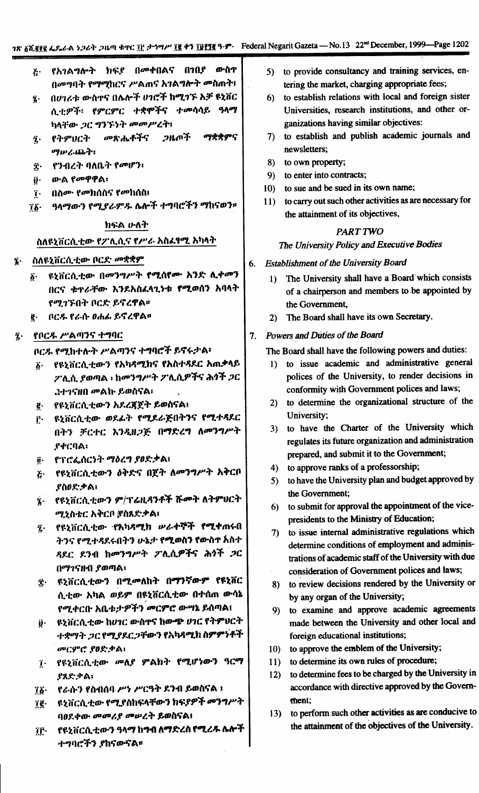- የአገልግሎት ክፍደ በመቀበልና በገበደ ውስጥ  $\boldsymbol{\tilde{c}}$ . በመግባት የማማከርና ሥልጠና አገልግሎት መስጠት፤
- በሀገሪቱ ውስጥና በሌሎች ሀገሮች ከሚገኙ አቻ ዩኒቨር  $\mathbf{\hat{i}}$ . ሲቲዎች፡ የምርምር ተቋሞችና ተመሳሳይ ዓላማ ካላቸው *ጋ*ር ግንኙነት መመሥረት፤
- ማቋቋምና i የትምህርት መጽሔቶችና ጋዜጦች ማルムのふう
- የንብረት ባለቤት የመሆን፣ Î٠
- ውል የመዋዋል፣ i.
- በስሙ የመክሰስና የመከሰስ፤  $\mathbf{r}$ .
- ዓላማውን የሚያራምዱ ሴሎች ተግባሮችን ማከናወን።  $\mathbf{i}\mathbf{b}$ .

### ክፍል ሁለት

## ስለዩኒቨርሲቲው የፖሊሲና የሥራ አስፈፃሚ አካላት

- ስለዩኒቨርሲቲው ቦርድ *መ*ቋቋም z.
	- ዩኒቨርሲቲው በመንግሥት የሚሰየሙ አንድ ሊቀመን 6. በርና ቁዋራቸው እንደአስፈላጊነቱ የሚወሰን አባላት የሚገኙበት ቦርድ ይኖረዋል።
	- <u>፪</u>· በር*ዱ* የራሱ ዐሐፊ ይኖረዋል፡፡
- የቦርዱ ሥልጣንና ተግባር  $\tilde{\mathbf{z}}$  .

ቦርዱ የሚከተሉት ሥልጣንና ተግባሮች ይኖሩታል፡

- የዩኒቨርሲቲውን የአካዳሚክና የአስተዳደር አጠቃላይ  $\boldsymbol{\delta}$ . ፖሊሲ ያወጣል ፡ ከመንግሥት ፖሊሲዎችና ሕጎች *ጋ*ር *JI-1580 መልኩ ይወስናል፣*
- ፪· የዩኒቨርሲቲውን አደረጃጀት ይወስናል፤
- ዩኒቨርሲቲው ወደፊት የሚደራጅበትንና የሚተጻደር f. በትን ቻርተር እንዲዘጋጅ በማድረግ ለመንግሥት **ያቀርባል**፣
- የፕሮፌሰርነት ማዕረግ ያፀድቃል፤  $\ddot{\mathbf{0}}$ .
- <u>ጅ· የዩኒቨርሲቲውን ዕቅድና በጀት ለመንግሥት አቅርቦ</u> የስዐድቃል፣
- ፮· የዩኒቨርሲቲውን ም/ፕሬዚዳንቶች ሹመት ለትምሀርት ሚኒስቴር አቅርቦ (የስጸድቃል፤
- የዩኒቨርሲቲው የአካዳሚክ ሥራ**ተ**ኞች **የሚ**ቀጠሩበ  $\ddot{\mathbf{z}}$ . ትንና የሚተዳደሩበትን ሁኔታ የሚወስን የውስጥ አስተ ዳደር ደንብ ከመንግሥት ፖሊሲዎችና ሕ*ጎ*ች *ጋ*ር በማገናዘብ ያወጣል፣
- ፰· ዩኒቨርሲቲውን በሚመለከት በ<mark>ማንኛውም የዩኒቨር</mark> ሲቲው አካል ወይም በዩኒቨርሲቲው በተሰጠ ውሳኔ የሚቀርቡ አቤቱታዎችን መርምሮ ውግኔ ይሰጣል፤
- ዩኒቨርሲቲው ከሀገር ውስኖና ከውጭ ሀገር የትምሀርት  $\ddot{\mathbf{y}}$ . ተቋማት ጋር የሚያደርጋቸውን የአካዳሚክ ስምምነቶች **መርምሮ ያፀድቃል**፡
- ፲ የዩኒቨርሲቲው መለያ ምልክት የሚሆነውን ዓርማ ያጸድቃል፡
- የራሱን የስብሰባ ሥነ ሥርዓት ደንብ ይወስናል ፤  $\mathbf{\tilde{1}}\mathbf{\tilde{2}}$ .
- ዩኒቨርሲቲው የሚያስከፍላቸውን ክፍያዎች መንግሥት ï₫∙ ባዐደቀው መመሪያ መሠረት ይወስናል፤
- የዩኒቨርሲቲውን ዓላማ ከግብ ለማድረስ የሚረዱ ሌሎች Ĩſ. ትግባሮችን ያከናውናል**።**
- 5) to provide consultancy and training services, entering the market, charging appropriate fees;
- to establish relations with local and foreign sister  $6)$ Universities, research institutions, and other organizations having similar objectives:
- 7) to establish and publish academic journals and newsletters:
- 8) to own property;
- 9) to enter into contracts;
- 10) to sue and be sued in its own name;
- 11) to carry out such other activities as are necessary for the attainment of its objectives,

# **PART TWO**

# The University Policy and Executive Bodies

- 6. Establishment of the University Board
	- 1) The University shall have a Board which consists of a chairperson and members to be appointed by the Government,
	- 2) The Board shall have its own Secretary.

## 7. Powers and Duties of the Board

The Board shall have the following powers and duties:

- 1) to issue academic and administrative general polices of the University, to render decisions in conformity with Government polices and laws;
- 2) to determine the organizational structure of the University;
- 3) to have the Charter of the University which regulates its future organization and administration prepared, and submit it to the Government;
- 4) to approve ranks of a professorship;
- 5) to have the University plan and budget approved by the Government:
- 6) to submit for approval the appointment of the vicepresidents to the Ministry of Education;
- 7) to issue internal administrative regulations which determine conditions of employment and administrations of academic staff of the University with due consideration of Government polices and laws;
- 8) to review decisions rendered by the University or by any organ of the University;
- 9) to examine and approve academic agreements made between the University and other local and foreign educational institutions;
- 10) to approve the emblem of the University;
- to determine its own rules of procedure;  $11)$
- to determine fees to be charged by the University in  $12)$ accordance with directive approved by the Government;
- 13) to perform such other activities as are conducive to the attainment of the objectives of the University.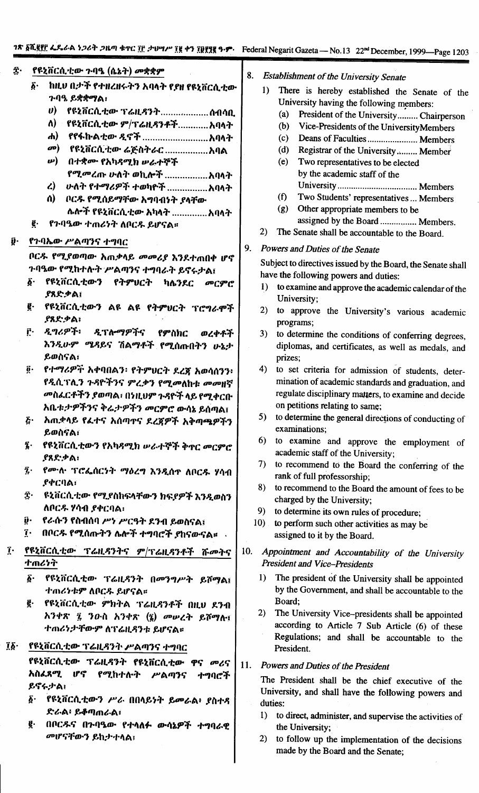|               |                             |                                         |     |         | <b>TOUGHT TO SHILL OULDE</b> |
|---------------|-----------------------------|-----------------------------------------|-----|---------|------------------------------|
| Î٠            |                             | የዩኒቨርሲቲው ጉባዔ (ሴኔት) መቋቋም                 | 8.  |         | Establishment                |
|               | ĝ.                          | ከዚህ በታች የተዘረዘሩትን አባላት የያዘ የዩኒቨርሲቲው      |     | 1)      | There is                     |
|               |                             | ን ባዓ. ይቋቋማል፡                            |     |         | University                   |
|               |                             | U)<br>የዩኒቨርሲቲው ፕሬዚዳንትስብሳቢ               |     |         | (a)<br>Pres                  |
|               |                             | ለ)<br>የዩኒቨርሲቲው ም/ፕሬዚዳንቶችአባላት            |     |         | (b)<br>Vice                  |
|               |                             | ሐ)                                      |     |         | (c)<br>Dea                   |
|               |                             | መ)     የዩኒቨርሲቲው ሬጅስትራር አባል              |     |         | (d)<br>Regi                  |
|               |                             | ω)<br>በተቋሙ የአካዳሚክ ሥራተኞች                 |     |         | (e)<br>Two                   |
|               |                             |                                         |     |         | by th                        |
|               |                             | $\mathbf{L}$                            |     |         | Univ                         |
|               |                             | ሰ)<br>ቦርዱ የሚሰይማቸው አግባብነት ያላቸው           |     |         | Two<br>(f)                   |
|               |                             | ሌሎች የዩኒቨርሲቲው አካላት አባላት                  |     |         | (g)<br>Othe                  |
|               | ę.                          | የንባዔው ተጠሪነት ለቦርዱ ይሆናል።                  |     |         | assig                        |
|               |                             |                                         |     | 2)      | The Senat                    |
| ŷ٠            |                             | የጉባኤው ሥልጣንና ተግባር                        | 9.  |         |                              |
|               |                             | በርዱ የሚያወጣው አጠቃላይ መመሪያ እንደተጠበቀ ሆኖ        |     |         | Powers and Du                |
|               |                             | ጉባዔው የሚከተሉት ሥልጣንና ተግባራት ይኖሩታል፤          |     |         | Subject to dired             |
|               | $\boldsymbol{\delta}$ .     | የዩኒቨርሲቲውን የትምሀርት ካሌንደር መርምሮ             |     |         | have the follov              |
|               |                             | <b>ያጸድቃል፤</b>                           |     | 1)      | to examine                   |
|               | g.                          | የዩኒቨርሲቲውን ልዩ ልዩ የትምህርት ፕሮግራሞች           |     |         | University                   |
|               |                             | <b>ያጸድቃል፣</b>                           |     | 2)      | to approv                    |
|               | ŗ٠                          |                                         |     |         | programs;                    |
|               |                             | ዲግሪዎች፡ ዲፕሎማዎችና የምስክር<br>ወረቀቶች           |     | 3)      | to determi                   |
|               |                             | እንዲሁም ሜዳይና ሽልማቶች የሚሰጡበትን ሁኔታ            |     |         | diplomas,                    |
|               |                             | ይወስናል፣                                  |     |         | prizes;                      |
|               | $\ddot{\mathbf{g}}\cdot$    | የተማሪዎች አቀባበልን፡ የትምሀርት ደረጃ አወሳሰንን፥       |     | 4)      | to set cri                   |
|               |                             | የዲሲፕሊን ጉዳዮችንና ምረቃን የሚመለከቱ መመዘኛ          |     |         | mination o                   |
|               |                             | መስፌርቶችን ያወጣል፣ በነዚህም ጉዳዮች ላይ የሚቀርቡ       |     |         | regulate di                  |
|               |                             | አቤቱ:ታዎችንና ቅሬ:ታዎችን መርምሮ ውሳኔ ይሰጣል፤        |     |         | on petition                  |
|               | ξ٠                          | አጠቃላይ የፌተና አሰጣተና ደረጀዎች አቅጣጫዎችን          |     | 5)      | to determin                  |
|               |                             | ይወስናል፣                                  |     |         | examinatio                   |
|               | ī.                          | የዩኒቨርሲቲውን የአካዳሚክ ሥራተኞች ቅኖር መርምሮ         |     | 6)      | to examin                    |
|               |                             | ያጸድቃል፡                                  |     |         | academic s                   |
|               | $\bar{\mathbf{z}}$ .        | የሙሉ ፕሮፌሰርንት ማዕረግ እንዲሰዋ ለቦርዱ ሃሳብ         |     | 7)      | to recomm                    |
|               |                             | <b>.የ</b> ቀርባል፣                         |     | 8)      | rank of ful                  |
|               | Î٠                          | ዩኒቨርሲቲው የሚያስከፍላቸውን ክፍያዎች እንዲወስን         |     |         | to recomm                    |
|               |                             | ለቦርዱ ሃሳብ ያቀርባል፡                         |     | 9)      | charged by<br>to determin    |
|               | į٠                          | የራሱን የስብሰባ ሥነ ሥርዓት ደንብ ይወስናል፤           |     | $10)$ . | to perform                   |
|               | $\mathbf{r}$ .              | በቦርዱ የሚሰጡትን ሌሎች ተግባሮች ያከናውናል። .         |     |         | assigned to                  |
|               |                             |                                         |     |         |                              |
| Ţ٠            |                             | የዩኒቨርሲቲው ፕሬዚዳንትና ም/ፕሬዚዳንቶች ሹመትና         | 10. |         | Appointment                  |
|               |                             | ተጠሪነት                                   |     |         | President and                |
|               | $\vec{\delta}$ .            | የዩኒቨርሲቲው ፕሬዚዳንት በመንግሥት ይሾማል፤            |     | 1)      | The presid                   |
|               |                             | ተጠሪንቱም ለቦርዱ ይሆናል።                       |     |         | by the Gov                   |
|               | g.                          | የዩኒቨርሲቲው ምክትል ፕሬዚዳንቶች በዚህ ደንብ           |     |         | Board;                       |
|               |                             | አንቀጽ ፯ ንዑስ አንቀጽ (፯) መሠረት ይሾማሉ፤          |     | 2)      | The Unive                    |
|               |                             | ተጠሪነታቸውም ለፕሬዚዳንቱ ይሆናል።                  |     |         | according                    |
|               |                             |                                         |     |         | Regulation                   |
| $\mathbf{15}$ |                             | የዩኒቨርሲቲው ፕሬዚዳንት ሥልጣንና ተግባር              |     |         | President.                   |
|               |                             | የዩኒቨርሲቲው ፕሬዚዳንት የዩኒቨርሲቲው ዋና መሪና         | 11. |         | Powers and Di                |
|               |                             | አስፈጸ <i>ሚ ሆኖ የሚ</i> ከተሉት ሥልጣንና<br>ተግባሮች |     |         |                              |
|               |                             | ይኖሩታል፣                                  |     |         | The President                |
|               | $\tilde{\mathbf{\Delta}}$ . | የዩኒቨርሲቲውን ሥራ በበላይነት ይመራል፥ ያስተዳ          |     |         | University, an               |
|               |                             | ድራል፡ ይቆጣጠራል፣                            |     |         | duties:                      |
|               | g.                          | በቦርዱና በጉባዔው የተላለፉ ውሳኔዎች ተግባራዊ           |     | 1)      | to direct, a                 |
|               |                             | መሆናቸውን ይከታተላል፣                          |     |         | the Univer                   |
|               |                             |                                         |     | 2)      | to follow                    |

| 8. | <b>Establishment of the University Senate</b> |  |
|----|-----------------------------------------------|--|
|    |                                               |  |

|                                                | There is hereby established the Senate of the |  |  |  |
|------------------------------------------------|-----------------------------------------------|--|--|--|
|                                                | University having the following members:      |  |  |  |
| President of the University Chairperson<br>(a) |                                               |  |  |  |
| (b)                                            | Vice-Presidents of the UniversityMembers      |  |  |  |
| (c)                                            | Deans of Faculties  Members                   |  |  |  |
| (d)                                            | Registrar of the University Member            |  |  |  |
| (e)                                            | Two representatives to be elected             |  |  |  |
|                                                | by the academic staff of the                  |  |  |  |
|                                                |                                               |  |  |  |
| (f)                                            | Two Students' representatives  Members        |  |  |  |
| (g)                                            | Other appropriate members to be               |  |  |  |

- gned by the Board ................ Members.
- e shall be accountable to the Board.
- uties of the Senate

ctives issued by the Board, the Senate shall ving powers and duties:

- e and approve the academic calendar of the  $\overline{\mathcal{L}}$
- ve the University's various academic
- ine the conditions of conferring degrees, and certificates, as well as medals, and
- teria for admission of students, deterof academic standards and graduation, and sciplinary matters, to examine and decide is relating to same;
- ne the general directions of conducting of  $\overline{ons};$
- ne and approve the employment of staff of the University;
- end to the Board the conferring of the l professorship;
- end to the Board the amount of fees to be the University;
- ne its own rules of procedure;
- such other activities as may be it by the Board.

and Accountability of the University **Vice-Presidents** 

- ent of the University shall be appointed ernment, and shall be accountable to the
- ersity Vice-presidents shall be appointed to Article 7 Sub Article (6) of these is; and shall be accountable to the

#### uties of the President

shall be the chief executive of the d shall have the following powers and

- dminister, and supervise the activities of sity;
- 2) to follow up the implementation of the decisions made by the Board and the Senate;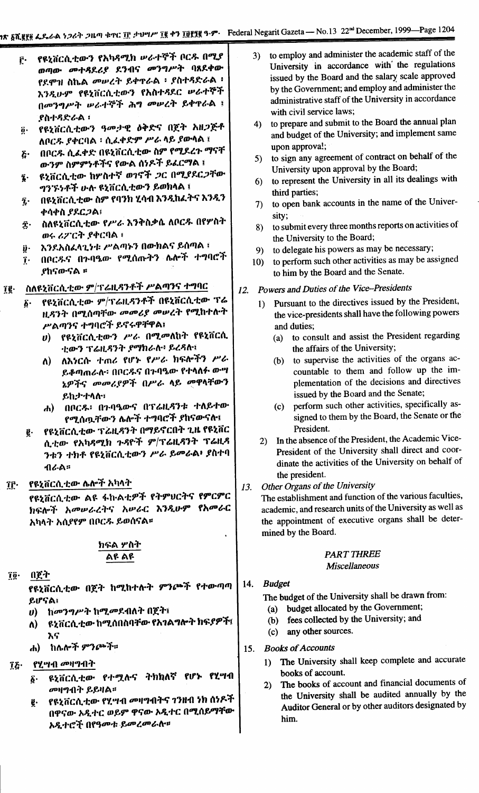- የዩኒቨርሲቲውን የአካዳሚክ ሥራተኞች ቦርዱ በሚያ ŕ٠ ወጣው መተዳደሪያ ደንብና መንግሥት ባጸደቀው የደሞዝ ስኬል *መሠረት ይ*ቀዋራል ፡ ያስተዳድራል ፡ እንዲሁም የዩኒቨርሲቲውን የአስተዳደር ሥራተኞች በመንግሥት ሠራተኞች ሕግ መሠረት ይቀዋራል ፤ <u> የስተዳድራል</u> ፡
- የዩኒቨርሲቲውን ዓመታዊ ዕቅድና በጀት አዘጋጅቶ  $\ddot{\mathbf{0}}$ . ለቦርዱ ያቀርባል ፡ ሲፌቀድም ሥራ ላይ ያውሳል ፤
- በቦርዱ ሲፌቀድ በዩኒቨርሲቲው ስም የሚደረጉ ማናቸ  $\mathbf{\hat{c}}$ ውንም ስምምነቶችና የውል ሰነዶች ይፈርማል ፤
- ዩኒቨርሲቲው ከሦስተኛ ወገኖች *ጋ*ር በሚያደር*ጋ*ቸው ĩ. ግንኙነቶች ሁሉ ዩኒቨርሲቲውን ይወክላል ፤
- በዩኒቨርሲቲው ስም የባንክ ሂሳብ እንዲከፈትና እንዲን ĩ. ቀሳቀስ ያደርጋል፣
- ስለዩኒቨርሲቲው የሥራ እንቅስቃሴ ለቦርዱ በየሦስት Ĵ٠ ወሩ ሪፖርት ያቀርባል ፣
- እንደአስፈላጊነቱ ሥልጣኑን በውክልና ይሰጣል ፣ ÿ٠
- በቦርዱና በጉባዔው የሚሰጡትን ሌሎች ተግባሮች  $\mathbf{r}$ . *የከናውናል ፡፡*

#### ስለዩኒቨርሲቲው ም/ፕሬዚዳንቶች ሥልጣንና ተግባር ïg∙

- የዩኒቨርሲቲው ም/ፕሬዚዳንቶች በዩኒቨርሲቲው ፕሬ ۶۰ ዚዳንት በሚሰጣቸው መመሪያ መሠረት የሚከተሉት ሥልጣንና ተግባሮች ይኖሩዋቸዋል፤
	- የዩኒቨርሲቲውን ሥራ በሚመለከት የዩኒቨርሲ  $\boldsymbol{\eta}$ ቲውን ፕሬዚዳንት ያማክራሉ፥ ይረዳሉ፤
	- ለእነርሱ ተጠሪ የሆኑ የሥራ ክፍሎችን ሥራ  $\mathbf{v}$ ይቆጣጠራሉ፡ በቦርዱና በጉባዔው የተላለፉ ውሣ ኔዎችና መመሪያዎች በሥራ ላይ መዋላቸውን ይከታተላሉ።
	- ሐ) በቦርዱ፡ በንባዔውና በፕሬዚዳንቱ ተለይተው የሚሰዉቸውን ሌሎች ተግባሮች ያከናውናሉ፣
- የዩኒቨርሲቲው ፕሬዚዳንት በማይኖርበት ጊዜ የዩኒቨር g. ሲቲው የአካዳሚክ ጉዳዮች ም/ፕሬዚዳንት ፕሬዚዳ ንቱን ተክቶ የዩኒቨርሲቲውን ሥራ ይመራል፥ ያስተባ ብራል።
- የዩኒቨርሲቲው ሴሎች አካላት ÎĈ∙

የዩኒቨርሲቲው ልዩ ፋኩልቲዎች የትምህርትና የምርምር ክፍሎች አመሥራረትና አሥራር እንዲሁም የአመራር አካላት አሲያየም በቦርዱ ይወሰናል።

#### ክፍል ሦስት ልዩ ልዩ

በጀት  $\mathbf{\overline{1}\overline{0}}$ 

> የዩኒቨርሲቲው በጀት ከሚከተሉት ምንጮች የተውጣጣ ይሆናል፣

- υ) ከመንግሥት ከሚመደብለት በጀት፤
- ዩኒቨርሲቲው ከሚሰበስባቸው የአገልግሎት ክፍያዎች፤ Λ) እና
- ሐ) ከሌሎች ምንጮች።
- የሂሣብ መዛግብት Ίξ·
	- ዩኒቨርሲቲው የተሟሉና ትክክለኛ የሆኑ የሂሣብ ĝ. መዛግብት ይይዛል።
	- የዩኒቨርሲቲው የሂሣብ መዛግብትና ገንዘብ ነክ ሰነዶች ğ. በዋናው አዲተር ወይም ዋናው አዲተር በሚሰይማቸው አዲተሮች በየዓመቱ ይመረመራስ።
- to employ and administer the academic staff of the  $3)$ University in accordance with the regulations issued by the Board and the salary scale approved by the Government; and employ and administer the administrative staff of the University in accordance with civil service laws:
- to prepare and submit to the Board the annual plan  $4)$ and budget of the University; and implement same upon approva!;
- to sign any agreement of contract on behalf of the  $5)$ University upon approval by the Board;
- to represent the University in all its dealings with  $6)$ third parties;
- to open bank accounts in the name of the Univer- $\mathcal{L}$ sity;
- to submit every three months reports on activities of 8) the University to the Board;
- to delegate his powers as may be necessary;  $9)$
- 10) to perform such other activities as may be assigned to him by the Board and the Senate.

# 12. Powers and Duties of the Vice-Presidents

- Pursuant to the directives issued by the President,  $1)$ the vice-presidents shall have the following powers and duties;
	- to consult and assist the President regarding  $(a)$ the affairs of the University;
	- to supervise the activities of the organs ac- $(b)$ countable to them and follow up the implementation of the decisions and directives issued by the Board and the Senate;
	- perform such other activities, specifically as- $(c)$ signed to them by the Board, the Senate or the President.
- In the absence of the President, the Academic Vice- $2)$ President of the University shall direct and coordinate the activities of the University on behalf of the president.
- Other Organs of the University 13.

The establishment and function of the various faculties, academic, and research units of the University as well as the appointment of executive organs shall be determined by the Board.

## **PART THREE**

## Miscellaneous

#### 14. **Budget**

The budget of the University shall be drawn from:

- (a) budget allocated by the Government;
- (b) fees collected by the University; and
- (c) any other sources.
- **Books of Accounts** 15.
	- 1) The University shall keep complete and accurate books of account.
	- The books of account and financial documents of  $2)$ the University shall be audited annually by the Auditor General or by other auditors designated by him.